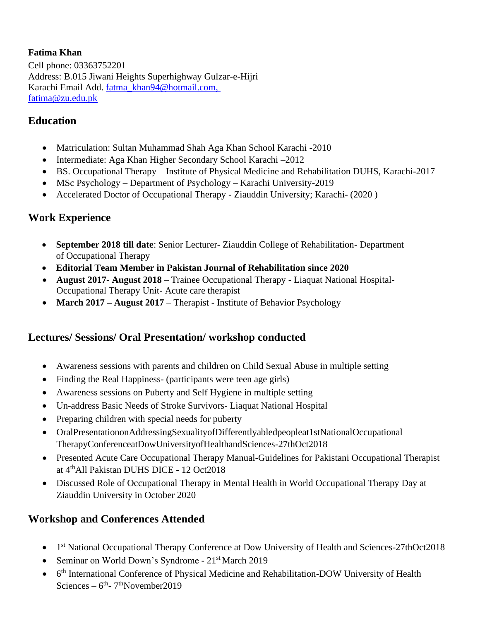#### **Fatima Khan**

Cell phone: 03363752201 Address: B.015 Jiwani Heights Superhighway Gulzar-e-Hijri Karachi Email Add. [fatma\\_khan94@hotmail.com,](mailto:fatma_khan94@hotmail.com)  [fatima@zu.edu.pk](mailto:fatma_khan94@hotmail.com)

### **Education**

- Matriculation: Sultan Muhammad Shah Aga Khan School Karachi -2010
- Intermediate: Aga Khan Higher Secondary School Karachi –2012
- BS. Occupational Therapy Institute of Physical Medicine and Rehabilitation DUHS, Karachi-2017
- MSc Psychology Department of Psychology Karachi University-2019
- Accelerated Doctor of Occupational Therapy Ziauddin University; Karachi- (2020 )

### **Work Experience**

- **September 2018 till date**: Senior Lecturer- Ziauddin College of Rehabilitation- Department of Occupational Therapy
- **Editorial Team Member in Pakistan Journal of Rehabilitation since 2020**
- **August 2017- August 2018**  Trainee Occupational Therapy Liaquat National Hospital-Occupational Therapy Unit- Acute care therapist
- **March 2017 August 2017** Therapist Institute of Behavior Psychology

### **Lectures/ Sessions/ Oral Presentation/ workshop conducted**

- Awareness sessions with parents and children on Child Sexual Abuse in multiple setting
- Finding the Real Happiness- (participants were teen age girls)
- Awareness sessions on Puberty and Self Hygiene in multiple setting
- Un-address Basic Needs of Stroke Survivors- Liaquat National Hospital
- Preparing children with special needs for puberty
- OralPresentationonAddressingSexualityofDifferentlyabledpeopleat1stNationalOccupational TherapyConferenceatDowUniversityofHealthandSciences-27thOct2018
- Presented Acute Care Occupational Therapy Manual-Guidelines for Pakistani Occupational Therapist at 4 thAll Pakistan DUHS DICE - 12 Oct2018
- Discussed Role of Occupational Therapy in Mental Health in World Occupational Therapy Day at Ziauddin University in October 2020

### **Workshop and Conferences Attended**

- 1<sup>st</sup> National Occupational Therapy Conference at Dow University of Health and Sciences-27thOct2018
- Seminar on World Down's Syndrome 21<sup>st</sup> March 2019
- 6<sup>th</sup> International Conference of Physical Medicine and Rehabilitation-DOW University of Health Sciences –  $6<sup>th</sup>$ - 7<sup>th</sup>November2019